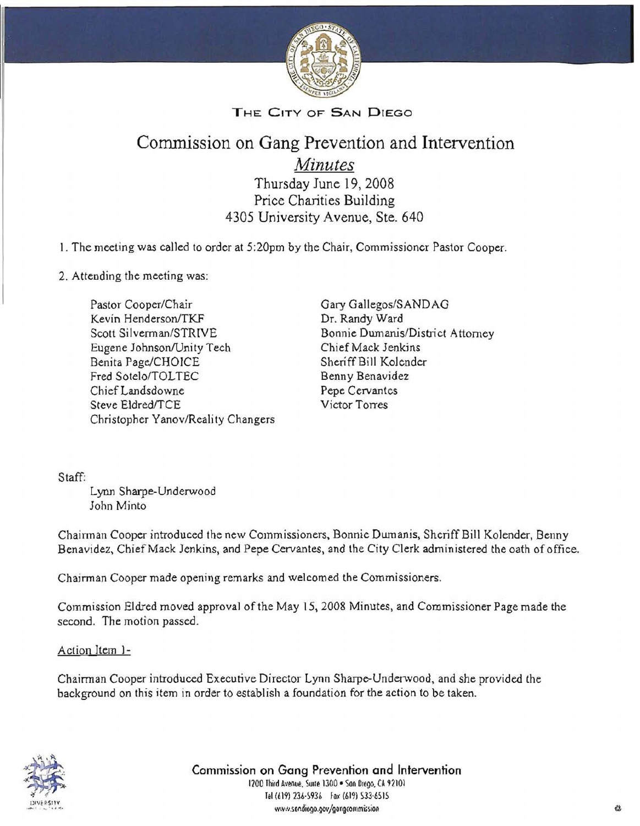

## THE CITY OF SAN DIEGO

# Commission on Gang Prevention and Intervention

*Minutes* 

Thursday June 19, 2008 Price Charities Building 4305 University Avenue, Ste. 640

I. The meeting was called to order at 5:20pm by the Chair, Commissioner Pastor Cooper.

2. Attending the meeting was:

Pastor Cooper/Chair Gary Gallegos/SANDAG<br>
Kevin Henderson/TKF Dr. Randy Ward Kevin Henderson/TKF Scott Silverman/STRIVE Bonnie Dumanis/District Attorney<br>Eugene Johnson/Unity Tech Chief Mack Jenkins Eugene Johnson/Unity Tech Benita Page/CHOICE Sheriff Bill Kolender Fred Sotelo/TOLTEC Benny Benavidez Chief Landsdowne Pepe Cervantes Steve Eldred/TCE Victor Torres Christopher Yanov/Reality Changers

Staff:

Lynn Sharpe-Underwood John Minto

Chairman Cooper introduced the new Commissioners, Bonnie Dumanis, Sheriff Bill Kolender, Benny Benavidez, Chief Mack Jenkins, and Pepe Cervantes, and the City Clerk administered the oath of office.

Chairman Cooper made opening remarks and welcomed the Commissioners.

Commission Eldred moved approval ofthe May 15,2008 Minutes, and Commissioner Page made the second. The motion passed.

Action Item 1-

Chairman Cooper introduced Executive Director Lynn Sharpe-Underwood, and she provided the background on this item in order to establish a foundation for the action to be taken.



, Commission on Gang Prevention and Intervention  $\frac{1}{200}$  Third Avenue. Sune 1300 • Son Diego, CA 92101<br>1200 Third Avenue. Sune 1300 • Son Diego, CA 92101<br>141/4191 234-45936 • Fax (419) 533-4515 Tel (619) 236-5936 Fax (619) 533-6515 www.sondiego.gov/gangcommission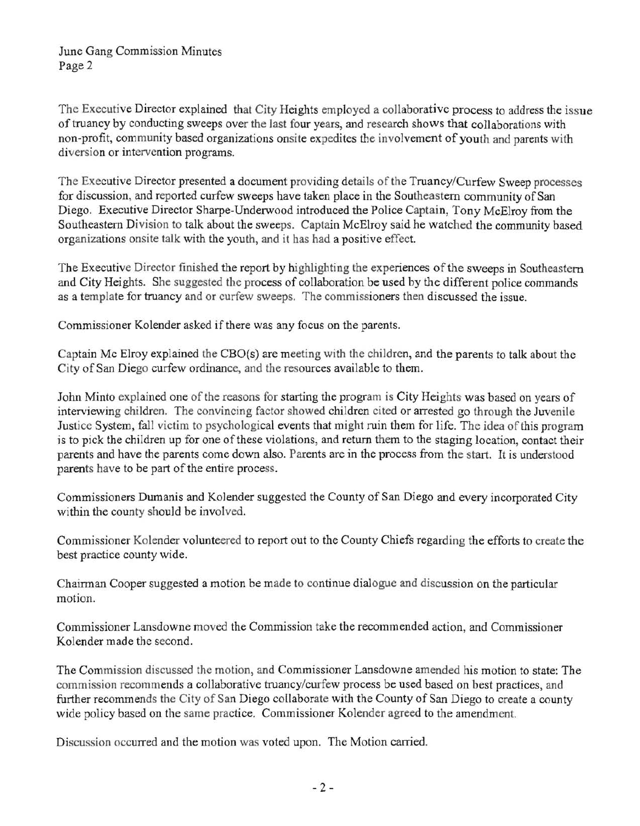The Executive Director explained that City Heights employed a collaborative process to address the issue of truancy by conducting sweeps over the last four years, and research shows that collaborations with non-profit, community based organizations onsite expedites the involvement of youth and parents with diversion or intervention programs.

The Executive Director presented a document providing details of the Truancy/Curfew Sweep processes for discussion, and reported curfew sweeps have taken place in the Southeastern community of San Diego. Executive Director Sharpe-Underwood introduced the Police Captain, Tony McElroy from the Southeastern Division to talk about the sweeps. Captain McElroy said he watched the community based organizations onsite talk with the youth, and it has had a positive effect.

The Executive Director finished the report by highlighting the experiences of the sweeps in Southeastern and City Heights. She suggested the process of collaboration be used by the different police commands as a template for truancy and or curfew sweeps. The commissioners then discussed the issue.

Commissioner Kolender asked if there was any focus on the parents.

Captain Mc Elroy explained the CBO(s) are meeting with the children, and the parents to talk about the City of San Diego curfew ordinance, and the resources available to them.

John Minto explained one of the reasons for starting the program is City Heights was based on years of interviewing children. The convincing factor showed children cited or arrested go through the Juvenile Justice System, fall victim to psychological events that might ruin them for life. The idea of this program is to pick the children up for one of these violations, and return them to the staging location, contact their parents and have the parents come down also. Parents are in the process from the start. It is understood parents have to be part of the entire process.

Commissioners Dumanis and Kolender suggested the County of San Diego and every incorporated City within the county should be involved.

Commissioner Kolender volunteered to report out to the County Chiefs regarding the efforts to create the best practice county wide.

Chairman Cooper suggested a motion be made to continue dialogue and discussion on the particular motion.

Commissioner Lansdowne moved the Commission take the recommended action, and Commissioner Kolender made the second.

The Commission discussed the motion) and Commissioner Lansdowne amended his motion to state: The commission recommends a collaborative truancy/curfew process be used based on best practices, and further recommends the City of San Diego collaborate with the County of San Diego to create a county wide policy based on the same practice. Commissioner Kolender agreed to the amendment.

Discussion occurred and the motion was voted upon. The Motion carried.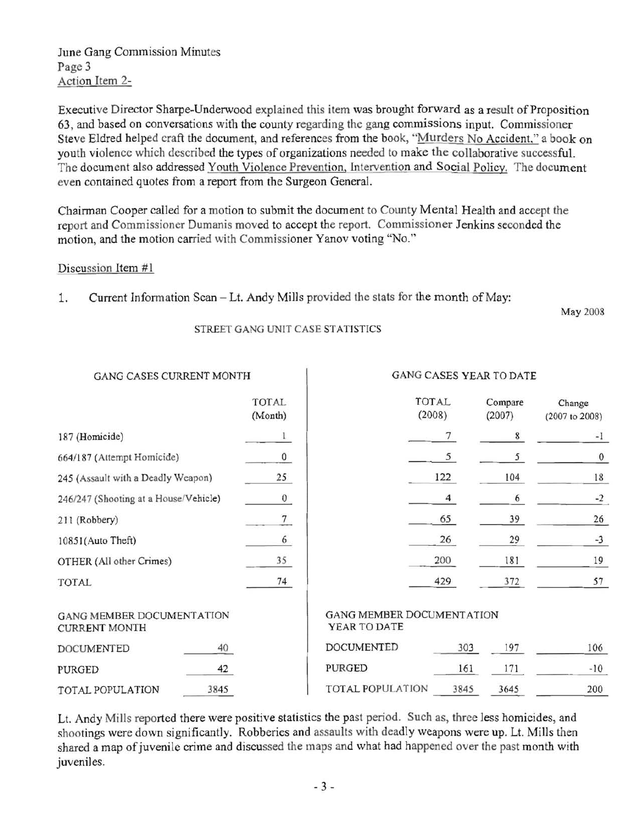June Gang Commission Minutes Page 3 Action Item 2-

Executive Director Sharpe-Underwood explained this item was brought forward as a result of Proposition 63, and based on conversations with the county regarding the gang commissions input. Commissioner Steve Eldred helped craft the document, and references from the book, "Murders No Accident," a book on youth violence which described the types of organizations needed to make the collaborative successfuL The document also addressed Youth Violence Prevention, Intervention and Social Policy. The document even contained quotes from a report from the Surgeon General.

Chairman Cooper called for a motion to submit the document to County Mental Health and accept the report and Commissioner Dumanis moved to accept the report. Commissioner Jenkins seconded the motion, and the motion carried with Commissioner Yanov voting "No."

#### Discussion Item #1

1. Current Information Scan - Lt. Andy Mills provided the stats for the month of May:

May 2008

#### STREET GANG UNIT CASE STATISTICS

| GANG CASES CURRENT MONTH                                 |      |                                           | GANG CASES YEAR TO DATE |                 |                   |                          |
|----------------------------------------------------------|------|-------------------------------------------|-------------------------|-----------------|-------------------|--------------------------|
|                                                          |      | <b>TOTAL</b><br>(Month)                   |                         | TOTAL<br>(2008) | Compare<br>(2007) | Change<br>(2007 to 2008) |
| 187 (Homicide)                                           |      |                                           |                         |                 | 8                 | $-1$                     |
| 664/187 (Attempt Homicide)                               |      | $\bf{0}$                                  |                         | 5               | 5                 | $\boldsymbol{0}$         |
| 245 (Assault with a Deadly Weapon)                       |      | 25                                        |                         | 122             | 104               | 18                       |
| 246/247 (Shooting at a House/Vehicle)                    |      | 0                                         |                         | 4               | 6                 | $-2$                     |
| 211 (Robbery)                                            |      | 7                                         |                         | 65              | 39                | 26                       |
| 10851(Auto Theft)                                        |      | 6                                         |                         | 26              | 29                | $-3$                     |
| OTHER (All other Crimes)                                 |      | 35                                        |                         | 200             | 181               | 19                       |
| TOTAL                                                    |      | 74                                        |                         | 429             | 372               | 57                       |
| <b>GANG MEMBER DOCUMENTATION</b><br><b>CURRENT MONTH</b> |      | GANG MEMBER DOCUMENTATION<br>YEAR TO DATE |                         |                 |                   |                          |
| <b>DOCUMENTED</b>                                        | 40   |                                           | <b>DOCUMENTED</b>       | 303             | 197               | 106                      |
| PURGED                                                   | 42   |                                           | PURGED                  | 161             | 171               | $-10$                    |
| TOTAL POPULATION                                         | 3845 |                                           | TOTAL POPULATION        | 3845            | 3645              | 200                      |

Lt. Andy Mills reported there were positive statistics the past period. Such as, three less homicides, and shootings were down significantly. Robberies and assaults with deadly weapons were up. Lt. Mills then shared a map of juvenile crime and discussed the maps and what had happened over the past month with juveniles.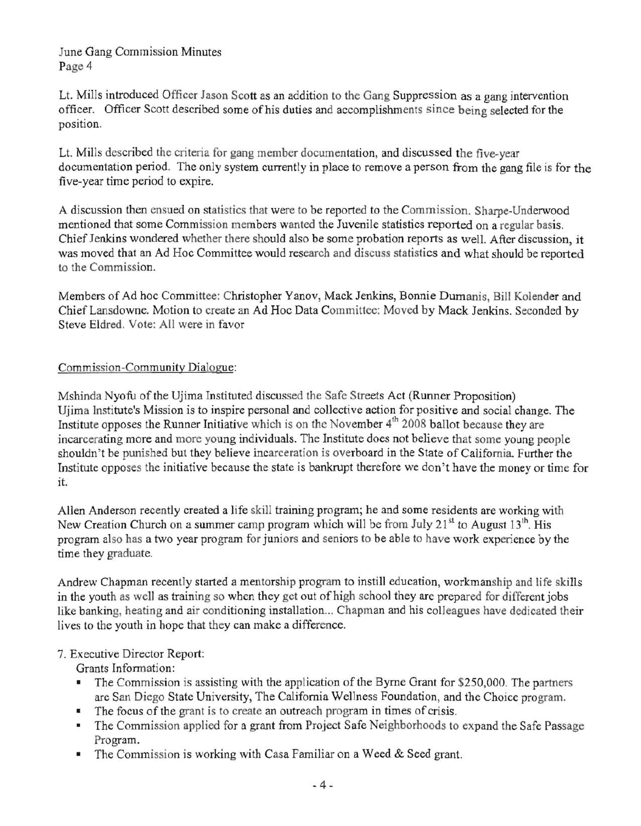June Gang Commission Minutes Page 4

Lt. Mills introduced Officer Jason Scott as an addition to the Gang Suppression as a gang intervention officer. Officer Scott described some ofhis duties and accomplishments since being selected for the position.

Lt. Mills described the criteria for gang member documentation, and discussed the five-year documentation period. The only system currently in place to remove a person from the gang file is for the five-year time period to expire.

A discussion then ensued on statistics that were to be reported to the Commission. Sharpe-Underwood mentioned that some Commission members wanted the Juvenile statistics reported on a regular basis. Chief Jenkins wondered whether there should also be some probation reports as well. After discussion, it was moved that an Ad Hoc Committee would research and discuss statistics and what should be reported to the Commission.

Members of Ad hoc Committee: Christopher Yanov, Mack Jenkins, Bonnie Dumanis, BiJl Kolender and Chief Lansdowne. Motion to create an Ad Hoc Data Committec: Moved by Mack Jenkins. Seconded by Steve Eldred. Vote: All were in favor

## Commission-Community Dialogue:

Mshinda Nyofu of the Ujima Instituted discussed the Safe Streets Act (Runner Proposition) Ujima Institute's Mission is to inspire personal and collective action for positive and social change. The Institute opposes the Runner Initiative which is on the November 4<sup>th</sup> 2008 ballot because they are incarcerating more and more young individuals. The Institute does not believe that some young people shouldn't be punished but they believe incarceration is overboard in the State of California. Further the Institute opposes the initiative because the state is bankrupt therefore we don't have the money or time for it.

Allen Anderson recently created a life skill training program; he and some residents are working with New Creation Church on a summer camp program which will be from July 21<sup>st</sup> to August 13<sup>th</sup>. His program also has a two year program for juniors and seniors to be able to have work experience by the time they graduate.

Andrew Chapman recently started a mentorship program to instill education, workmanship and life skills in the youth as well as training so when they get out of high school they are prepared for different jobs like banking, heating and air conditioning installation... Chapman and his colleagues have dedicated their lives to the youth in hope that they can make a difference.

## 7. Executive Director Report:

Grants Information:

- The Commission is assisting with the application of the Byrne Grant for \$250,000. The partners are San Diego State University, The California Wellness Foundation, and the Choice program.
- The focus of the grant is to create an outreach program in times of crisis.
- The Commission applied for a grant from Project Safe Neighborhoods to expand the Safe Passage Program.
- The Commission is working with Casa Familiar on a Weed  $&$  Seed grant.